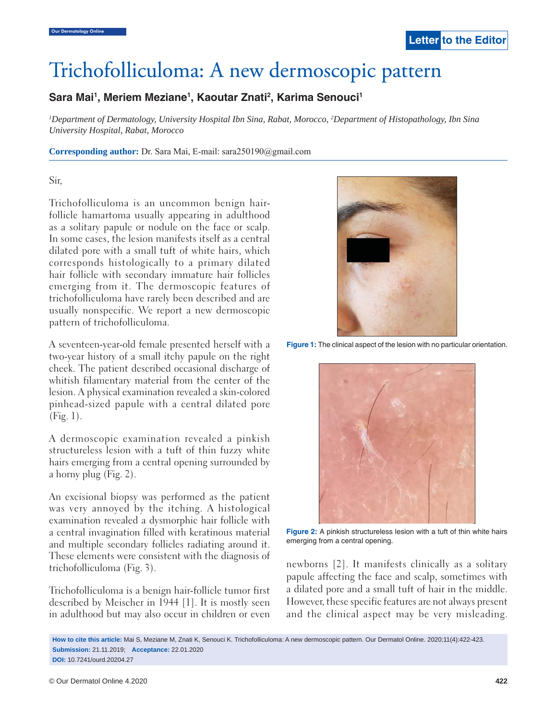# Trichofolliculoma: A new dermoscopic pattern

# Sara Mai<sup>1</sup>, Meriem Meziane<sup>1</sup>, Kaoutar Znati<sup>2</sup>, Karima Senouci<sup>1</sup>

*1 Department of Dermatology, University Hospital Ibn Sina, Rabat, Morocco, 2 Department of Histopathology, Ibn Sina University Hospital, Rabat, Morocco*

**Corresponding author:** Dr. Sara Mai, E-mail: sara250190@gmail.com

#### Sir,

Trichofolliculoma is an uncommon benign hairfollicle hamartoma usually appearing in adulthood as a solitary papule or nodule on the face or scalp. In some cases, the lesion manifests itself as a central dilated pore with a small tuft of white hairs, which corresponds histologically to a primary dilated hair follicle with secondary immature hair follicles emerging from it. The dermoscopic features of trichofolliculoma have rarely been described and are usually nonspecific. We report a new dermoscopic pattern of trichofolliculoma.

A seventeen-year-old female presented herself with a two-year history of a small itchy papule on the right cheek. The patient described occasional discharge of whitish filamentary material from the center of the lesion. A physical examination revealed a skin-colored pinhead-sized papule with a central dilated pore (Fig. 1).

A dermoscopic examination revealed a pinkish structureless lesion with a tuft of thin fuzzy white hairs emerging from a central opening surrounded by a horny plug (Fig. 2).

An excisional biopsy was performed as the patient was very annoyed by the itching. A histological examination revealed a dysmorphic hair follicle with a central invagination filled with keratinous material and multiple secondary follicles radiating around it. These elements were consistent with the diagnosis of trichofolliculoma (Fig. 3).

Trichofolliculoma is a benign hair-follicle tumor first described by Meischer in 1944 [1]. It is mostly seen in adulthood but may also occur in children or even



**Figure 1:** The clinical aspect of the lesion with no particular orientation.



**Figure 2:** A pinkish structureless lesion with a tuft of thin white hairs emerging from a central opening.

newborns [2]. It manifests clinically as a solitary papule affecting the face and scalp, sometimes with a dilated pore and a small tuft of hair in the middle. However, these specific features are not always present and the clinical aspect may be very misleading.

**How to cite this article:** Mai S, Meziane M, Znati K, Senouci K. Trichofolliculoma: A new dermoscopic pattern. Our Dermatol Online. 2020;11(4):422-423. **Submission:** 21.11.2019; **Acceptance:** 22.01.2020 **DOI:** 10.7241/ourd.20204.27